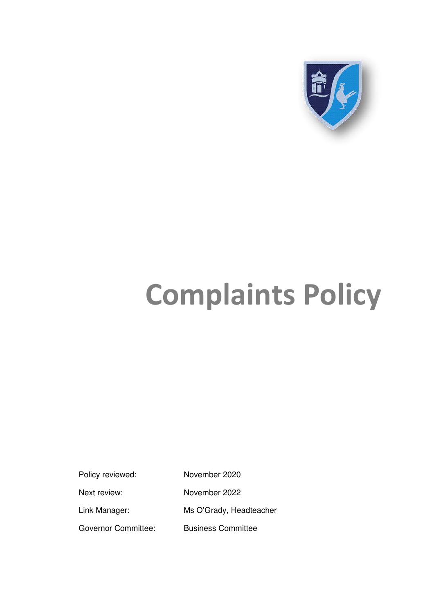

# **Complaints Policy**

Policy reviewed: November 2020 Next review: November 2022 Link Manager: Ms O'Grady, Headteacher Governor Committee: Business Committee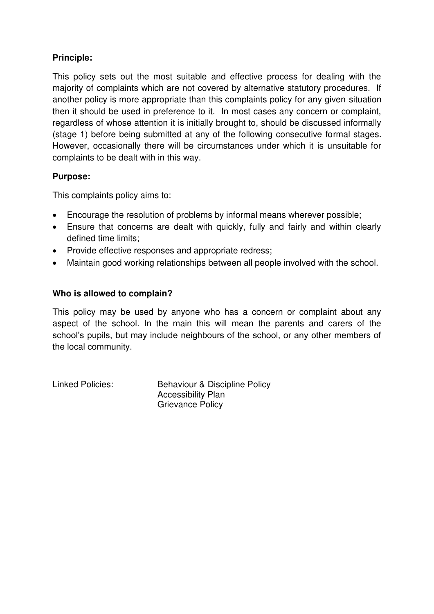## **Principle:**

This policy sets out the most suitable and effective process for dealing with the majority of complaints which are not covered by alternative statutory procedures. If another policy is more appropriate than this complaints policy for any given situation then it should be used in preference to it. In most cases any concern or complaint, regardless of whose attention it is initially brought to, should be discussed informally (stage 1) before being submitted at any of the following consecutive formal stages. However, occasionally there will be circumstances under which it is unsuitable for complaints to be dealt with in this way.

## **Purpose:**

This complaints policy aims to:

- Encourage the resolution of problems by informal means wherever possible;
- Ensure that concerns are dealt with quickly, fully and fairly and within clearly defined time limits;
- Provide effective responses and appropriate redress;
- Maintain good working relationships between all people involved with the school.

## **Who is allowed to complain?**

This policy may be used by anyone who has a concern or complaint about any aspect of the school. In the main this will mean the parents and carers of the school's pupils, but may include neighbours of the school, or any other members of the local community.

Linked Policies: Behaviour & Discipline Policy Accessibility Plan Grievance Policy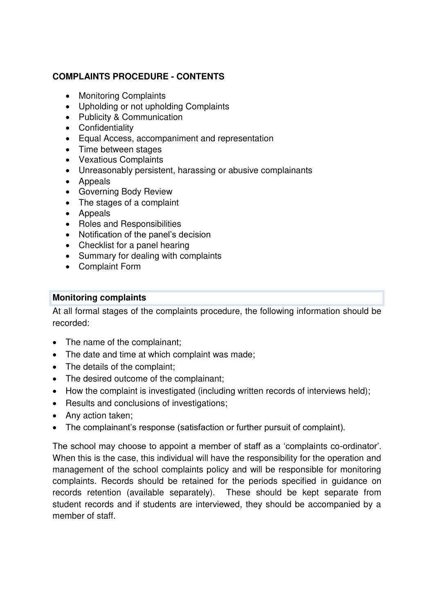## **COMPLAINTS PROCEDURE - CONTENTS**

- Monitoring Complaints
- Upholding or not upholding Complaints
- Publicity & Communication
- Confidentiality
- Equal Access, accompaniment and representation
- Time between stages
- Vexatious Complaints
- Unreasonably persistent, harassing or abusive complainants
- Appeals
- Governing Body Review
- The stages of a complaint
- Appeals
- Roles and Responsibilities
- Notification of the panel's decision
- Checklist for a panel hearing
- Summary for dealing with complaints
- Complaint Form

## **Monitoring complaints**

At all formal stages of the complaints procedure, the following information should be recorded:

- The name of the complainant;
- The date and time at which complaint was made;
- The details of the complaint;
- The desired outcome of the complainant;
- How the complaint is investigated (including written records of interviews held);
- Results and conclusions of investigations;
- Any action taken;
- The complainant's response (satisfaction or further pursuit of complaint).

The school may choose to appoint a member of staff as a 'complaints co-ordinator'. When this is the case, this individual will have the responsibility for the operation and management of the school complaints policy and will be responsible for monitoring complaints. Records should be retained for the periods specified in guidance on records retention (available separately). These should be kept separate from student records and if students are interviewed, they should be accompanied by a member of staff.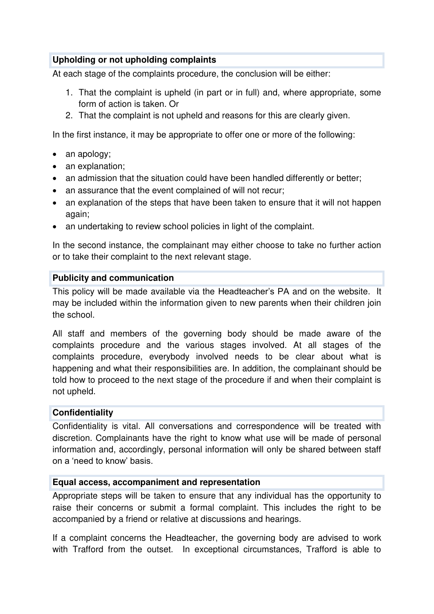## **Upholding or not upholding complaints**

At each stage of the complaints procedure, the conclusion will be either:

- 1. That the complaint is upheld (in part or in full) and, where appropriate, some form of action is taken. Or
- 2. That the complaint is not upheld and reasons for this are clearly given.

In the first instance, it may be appropriate to offer one or more of the following:

- an apology;
- an explanation;
- an admission that the situation could have been handled differently or better;
- an assurance that the event complained of will not recur;
- an explanation of the steps that have been taken to ensure that it will not happen again;
- an undertaking to review school policies in light of the complaint.

In the second instance, the complainant may either choose to take no further action or to take their complaint to the next relevant stage.

#### **Publicity and communication**

This policy will be made available via the Headteacher's PA and on the website. It may be included within the information given to new parents when their children join the school.

All staff and members of the governing body should be made aware of the complaints procedure and the various stages involved. At all stages of the complaints procedure, everybody involved needs to be clear about what is happening and what their responsibilities are. In addition, the complainant should be told how to proceed to the next stage of the procedure if and when their complaint is not upheld.

#### **Confidentiality**

Confidentiality is vital. All conversations and correspondence will be treated with discretion. Complainants have the right to know what use will be made of personal information and, accordingly, personal information will only be shared between staff on a 'need to know' basis.

#### **Equal access, accompaniment and representation**

Appropriate steps will be taken to ensure that any individual has the opportunity to raise their concerns or submit a formal complaint. This includes the right to be accompanied by a friend or relative at discussions and hearings.

If a complaint concerns the Headteacher, the governing body are advised to work with Trafford from the outset. In exceptional circumstances, Trafford is able to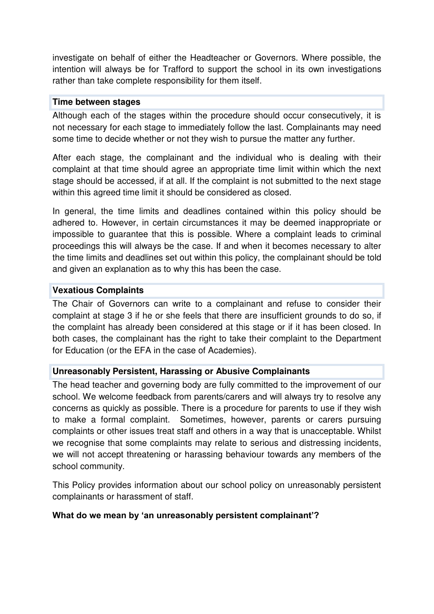investigate on behalf of either the Headteacher or Governors. Where possible, the intention will always be for Trafford to support the school in its own investigations rather than take complete responsibility for them itself.

#### **Time between stages**

Although each of the stages within the procedure should occur consecutively, it is not necessary for each stage to immediately follow the last. Complainants may need some time to decide whether or not they wish to pursue the matter any further.

After each stage, the complainant and the individual who is dealing with their complaint at that time should agree an appropriate time limit within which the next stage should be accessed, if at all. If the complaint is not submitted to the next stage within this agreed time limit it should be considered as closed.

In general, the time limits and deadlines contained within this policy should be adhered to. However, in certain circumstances it may be deemed inappropriate or impossible to guarantee that this is possible. Where a complaint leads to criminal proceedings this will always be the case. If and when it becomes necessary to alter the time limits and deadlines set out within this policy, the complainant should be told and given an explanation as to why this has been the case.

## **Vexatious Complaints**

The Chair of Governors can write to a complainant and refuse to consider their complaint at stage 3 if he or she feels that there are insufficient grounds to do so, if the complaint has already been considered at this stage or if it has been closed. In both cases, the complainant has the right to take their complaint to the Department for Education (or the EFA in the case of Academies).

## **Unreasonably Persistent, Harassing or Abusive Complainants**

The head teacher and governing body are fully committed to the improvement of our school. We welcome feedback from parents/carers and will always try to resolve any concerns as quickly as possible. There is a procedure for parents to use if they wish to make a formal complaint. Sometimes, however, parents or carers pursuing complaints or other issues treat staff and others in a way that is unacceptable. Whilst we recognise that some complaints may relate to serious and distressing incidents, we will not accept threatening or harassing behaviour towards any members of the school community.

This Policy provides information about our school policy on unreasonably persistent complainants or harassment of staff.

## **What do we mean by 'an unreasonably persistent complainant'?**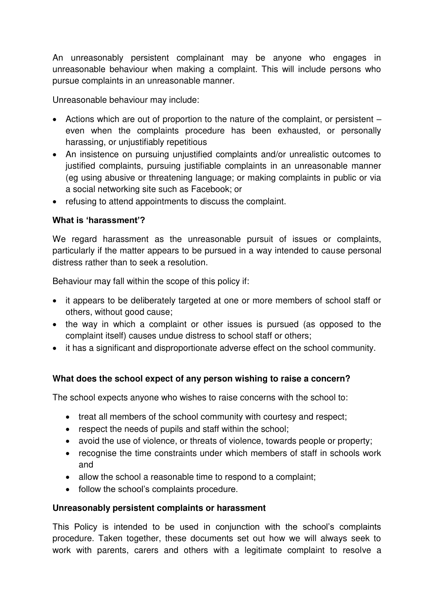An unreasonably persistent complainant may be anyone who engages in unreasonable behaviour when making a complaint. This will include persons who pursue complaints in an unreasonable manner.

Unreasonable behaviour may include:

- Actions which are out of proportion to the nature of the complaint, or persistent even when the complaints procedure has been exhausted, or personally harassing, or unjustifiably repetitious
- An insistence on pursuing unjustified complaints and/or unrealistic outcomes to justified complaints, pursuing justifiable complaints in an unreasonable manner (eg using abusive or threatening language; or making complaints in public or via a social networking site such as Facebook; or
- refusing to attend appointments to discuss the complaint.

## **What is 'harassment'?**

We regard harassment as the unreasonable pursuit of issues or complaints, particularly if the matter appears to be pursued in a way intended to cause personal distress rather than to seek a resolution.

Behaviour may fall within the scope of this policy if:

- it appears to be deliberately targeted at one or more members of school staff or others, without good cause;
- the way in which a complaint or other issues is pursued (as opposed to the complaint itself) causes undue distress to school staff or others;
- it has a significant and disproportionate adverse effect on the school community.

## **What does the school expect of any person wishing to raise a concern?**

The school expects anyone who wishes to raise concerns with the school to:

- treat all members of the school community with courtesy and respect;
- respect the needs of pupils and staff within the school;
- avoid the use of violence, or threats of violence, towards people or property;
- recognise the time constraints under which members of staff in schools work and
- allow the school a reasonable time to respond to a complaint;
- follow the school's complaints procedure.

## **Unreasonably persistent complaints or harassment**

This Policy is intended to be used in conjunction with the school's complaints procedure. Taken together, these documents set out how we will always seek to work with parents, carers and others with a legitimate complaint to resolve a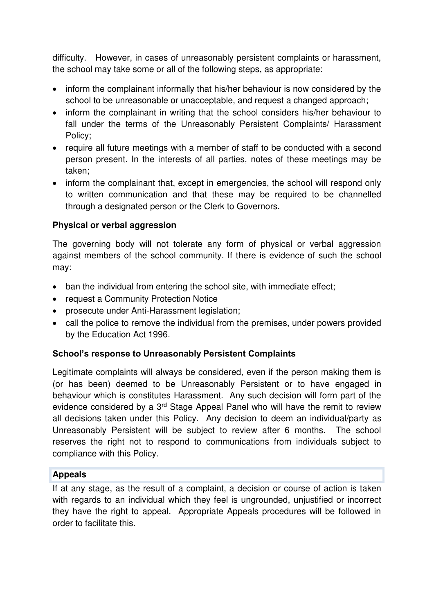difficulty. However, in cases of unreasonably persistent complaints or harassment, the school may take some or all of the following steps, as appropriate:

- inform the complainant informally that his/her behaviour is now considered by the school to be unreasonable or unacceptable, and request a changed approach;
- inform the complainant in writing that the school considers his/her behaviour to fall under the terms of the Unreasonably Persistent Complaints/ Harassment Policy;
- require all future meetings with a member of staff to be conducted with a second person present. In the interests of all parties, notes of these meetings may be taken;
- inform the complainant that, except in emergencies, the school will respond only to written communication and that these may be required to be channelled through a designated person or the Clerk to Governors.

## **Physical or verbal aggression**

The governing body will not tolerate any form of physical or verbal aggression against members of the school community. If there is evidence of such the school may:

- ban the individual from entering the school site, with immediate effect;
- request a Community Protection Notice
- prosecute under Anti-Harassment legislation;
- call the police to remove the individual from the premises, under powers provided by the Education Act 1996.

## **School's response to Unreasonably Persistent Complaints**

Legitimate complaints will always be considered, even if the person making them is (or has been) deemed to be Unreasonably Persistent or to have engaged in behaviour which is constitutes Harassment. Any such decision will form part of the evidence considered by a 3<sup>rd</sup> Stage Appeal Panel who will have the remit to review all decisions taken under this Policy. Any decision to deem an individual/party as Unreasonably Persistent will be subject to review after 6 months. The school reserves the right not to respond to communications from individuals subject to compliance with this Policy.

## **Appeals**

If at any stage, as the result of a complaint, a decision or course of action is taken with regards to an individual which they feel is ungrounded, unjustified or incorrect they have the right to appeal. Appropriate Appeals procedures will be followed in order to facilitate this.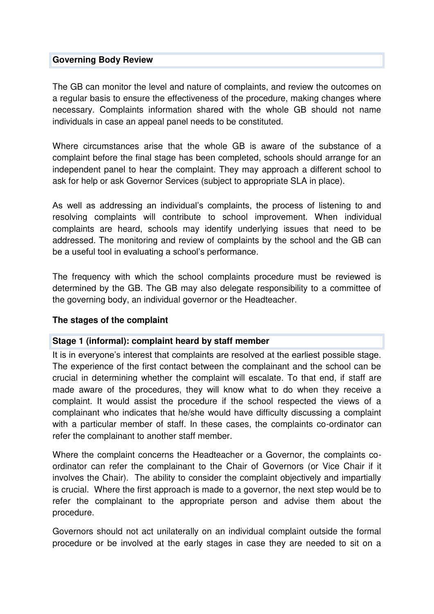#### **Governing Body Review**

The GB can monitor the level and nature of complaints, and review the outcomes on a regular basis to ensure the effectiveness of the procedure, making changes where necessary. Complaints information shared with the whole GB should not name individuals in case an appeal panel needs to be constituted.

Where circumstances arise that the whole GB is aware of the substance of a complaint before the final stage has been completed, schools should arrange for an independent panel to hear the complaint. They may approach a different school to ask for help or ask Governor Services (subject to appropriate SLA in place).

As well as addressing an individual's complaints, the process of listening to and resolving complaints will contribute to school improvement. When individual complaints are heard, schools may identify underlying issues that need to be addressed. The monitoring and review of complaints by the school and the GB can be a useful tool in evaluating a school's performance.

The frequency with which the school complaints procedure must be reviewed is determined by the GB. The GB may also delegate responsibility to a committee of the governing body, an individual governor or the Headteacher.

#### **The stages of the complaint**

#### **Stage 1 (informal): complaint heard by staff member**

It is in everyone's interest that complaints are resolved at the earliest possible stage. The experience of the first contact between the complainant and the school can be crucial in determining whether the complaint will escalate. To that end, if staff are made aware of the procedures, they will know what to do when they receive a complaint. It would assist the procedure if the school respected the views of a complainant who indicates that he/she would have difficulty discussing a complaint with a particular member of staff. In these cases, the complaints co-ordinator can refer the complainant to another staff member.

Where the complaint concerns the Headteacher or a Governor, the complaints coordinator can refer the complainant to the Chair of Governors (or Vice Chair if it involves the Chair). The ability to consider the complaint objectively and impartially is crucial. Where the first approach is made to a governor, the next step would be to refer the complainant to the appropriate person and advise them about the procedure.

Governors should not act unilaterally on an individual complaint outside the formal procedure or be involved at the early stages in case they are needed to sit on a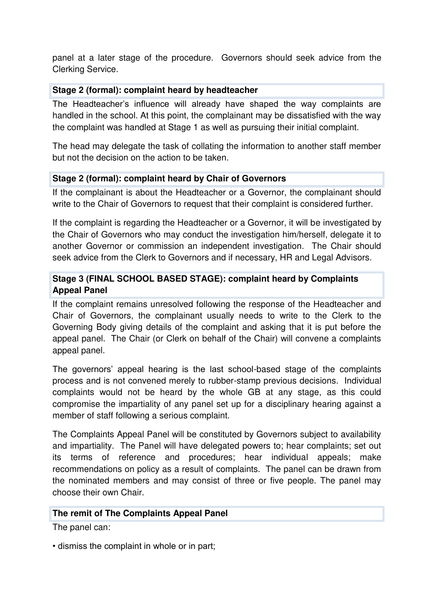panel at a later stage of the procedure. Governors should seek advice from the Clerking Service.

#### **Stage 2 (formal): complaint heard by headteacher**

The Headteacher's influence will already have shaped the way complaints are handled in the school. At this point, the complainant may be dissatisfied with the way the complaint was handled at Stage 1 as well as pursuing their initial complaint.

The head may delegate the task of collating the information to another staff member but not the decision on the action to be taken.

#### **Stage 2 (formal): complaint heard by Chair of Governors**

If the complainant is about the Headteacher or a Governor, the complainant should write to the Chair of Governors to request that their complaint is considered further.

If the complaint is regarding the Headteacher or a Governor, it will be investigated by the Chair of Governors who may conduct the investigation him/herself, delegate it to another Governor or commission an independent investigation. The Chair should seek advice from the Clerk to Governors and if necessary, HR and Legal Advisors.

## **Stage 3 (FINAL SCHOOL BASED STAGE): complaint heard by Complaints Appeal Panel**

If the complaint remains unresolved following the response of the Headteacher and Chair of Governors, the complainant usually needs to write to the Clerk to the Governing Body giving details of the complaint and asking that it is put before the appeal panel. The Chair (or Clerk on behalf of the Chair) will convene a complaints appeal panel.

The governors' appeal hearing is the last school-based stage of the complaints process and is not convened merely to rubber-stamp previous decisions. Individual complaints would not be heard by the whole GB at any stage, as this could compromise the impartiality of any panel set up for a disciplinary hearing against a member of staff following a serious complaint.

The Complaints Appeal Panel will be constituted by Governors subject to availability and impartiality. The Panel will have delegated powers to; hear complaints; set out its terms of reference and procedures; hear individual appeals; make recommendations on policy as a result of complaints. The panel can be drawn from the nominated members and may consist of three or five people. The panel may choose their own Chair.

#### **The remit of The Complaints Appeal Panel**

The panel can:

• dismiss the complaint in whole or in part;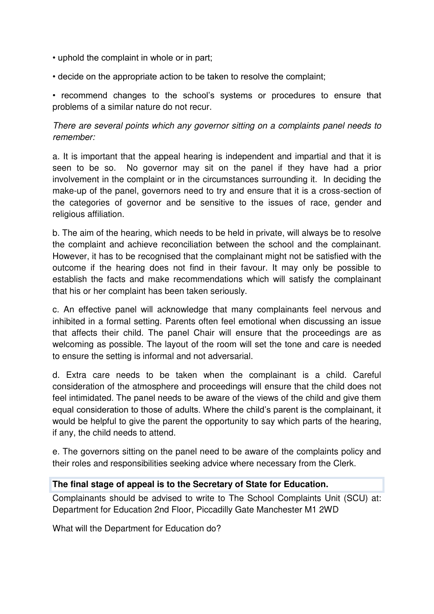- uphold the complaint in whole or in part;
- decide on the appropriate action to be taken to resolve the complaint;

• recommend changes to the school's systems or procedures to ensure that problems of a similar nature do not recur.

There are several points which any governor sitting on a complaints panel needs to remember:

a. It is important that the appeal hearing is independent and impartial and that it is seen to be so. No governor may sit on the panel if they have had a prior involvement in the complaint or in the circumstances surrounding it. In deciding the make-up of the panel, governors need to try and ensure that it is a cross-section of the categories of governor and be sensitive to the issues of race, gender and religious affiliation.

b. The aim of the hearing, which needs to be held in private, will always be to resolve the complaint and achieve reconciliation between the school and the complainant. However, it has to be recognised that the complainant might not be satisfied with the outcome if the hearing does not find in their favour. It may only be possible to establish the facts and make recommendations which will satisfy the complainant that his or her complaint has been taken seriously.

c. An effective panel will acknowledge that many complainants feel nervous and inhibited in a formal setting. Parents often feel emotional when discussing an issue that affects their child. The panel Chair will ensure that the proceedings are as welcoming as possible. The layout of the room will set the tone and care is needed to ensure the setting is informal and not adversarial.

d. Extra care needs to be taken when the complainant is a child. Careful consideration of the atmosphere and proceedings will ensure that the child does not feel intimidated. The panel needs to be aware of the views of the child and give them equal consideration to those of adults. Where the child's parent is the complainant, it would be helpful to give the parent the opportunity to say which parts of the hearing, if any, the child needs to attend.

e. The governors sitting on the panel need to be aware of the complaints policy and their roles and responsibilities seeking advice where necessary from the Clerk.

#### **The final stage of appeal is to the Secretary of State for Education.**

Complainants should be advised to write to The School Complaints Unit (SCU) at: Department for Education 2nd Floor, Piccadilly Gate Manchester M1 2WD

What will the Department for Education do?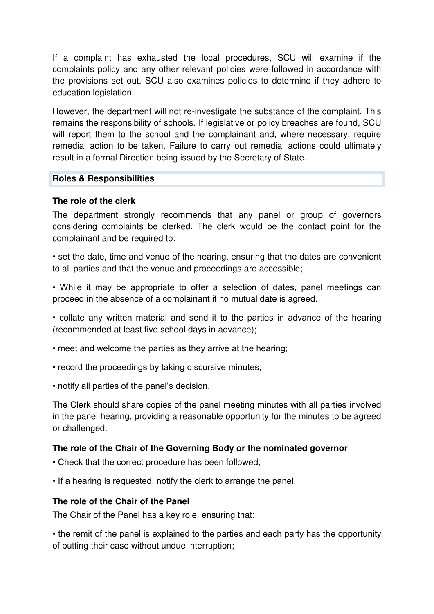If a complaint has exhausted the local procedures, SCU will examine if the complaints policy and any other relevant policies were followed in accordance with the provisions set out. SCU also examines policies to determine if they adhere to education legislation.

However, the department will not re-investigate the substance of the complaint. This remains the responsibility of schools. If legislative or policy breaches are found, SCU will report them to the school and the complainant and, where necessary, require remedial action to be taken. Failure to carry out remedial actions could ultimately result in a formal Direction being issued by the Secretary of State.

#### **Roles & Responsibilities**

## **The role of the clerk**

The department strongly recommends that any panel or group of governors considering complaints be clerked. The clerk would be the contact point for the complainant and be required to:

• set the date, time and venue of the hearing, ensuring that the dates are convenient to all parties and that the venue and proceedings are accessible;

• While it may be appropriate to offer a selection of dates, panel meetings can proceed in the absence of a complainant if no mutual date is agreed.

• collate any written material and send it to the parties in advance of the hearing (recommended at least five school days in advance);

- meet and welcome the parties as they arrive at the hearing;
- record the proceedings by taking discursive minutes;
- notify all parties of the panel's decision.

The Clerk should share copies of the panel meeting minutes with all parties involved in the panel hearing, providing a reasonable opportunity for the minutes to be agreed or challenged.

## **The role of the Chair of the Governing Body or the nominated governor**

- Check that the correct procedure has been followed;
- If a hearing is requested, notify the clerk to arrange the panel.

## **The role of the Chair of the Panel**

The Chair of the Panel has a key role, ensuring that:

• the remit of the panel is explained to the parties and each party has the opportunity of putting their case without undue interruption;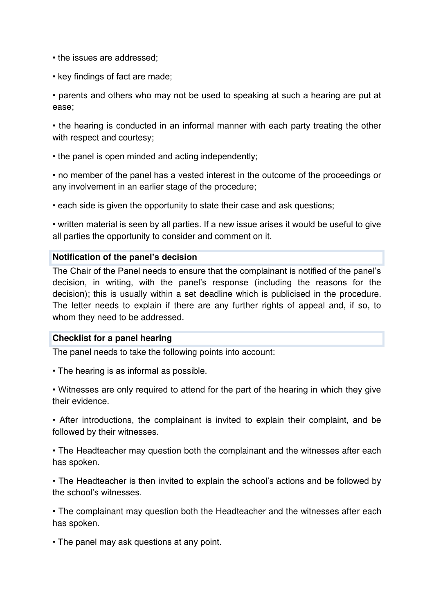- the issues are addressed;
- key findings of fact are made;

• parents and others who may not be used to speaking at such a hearing are put at ease;

• the hearing is conducted in an informal manner with each party treating the other with respect and courtesy;

• the panel is open minded and acting independently;

• no member of the panel has a vested interest in the outcome of the proceedings or any involvement in an earlier stage of the procedure;

• each side is given the opportunity to state their case and ask questions;

• written material is seen by all parties. If a new issue arises it would be useful to give all parties the opportunity to consider and comment on it.

#### **Notification of the panel's decision**

The Chair of the Panel needs to ensure that the complainant is notified of the panel's decision, in writing, with the panel's response (including the reasons for the decision); this is usually within a set deadline which is publicised in the procedure. The letter needs to explain if there are any further rights of appeal and, if so, to whom they need to be addressed.

#### **Checklist for a panel hearing**

The panel needs to take the following points into account:

• The hearing is as informal as possible.

• Witnesses are only required to attend for the part of the hearing in which they give their evidence.

• After introductions, the complainant is invited to explain their complaint, and be followed by their witnesses.

• The Headteacher may question both the complainant and the witnesses after each has spoken.

• The Headteacher is then invited to explain the school's actions and be followed by the school's witnesses.

• The complainant may question both the Headteacher and the witnesses after each has spoken.

• The panel may ask questions at any point.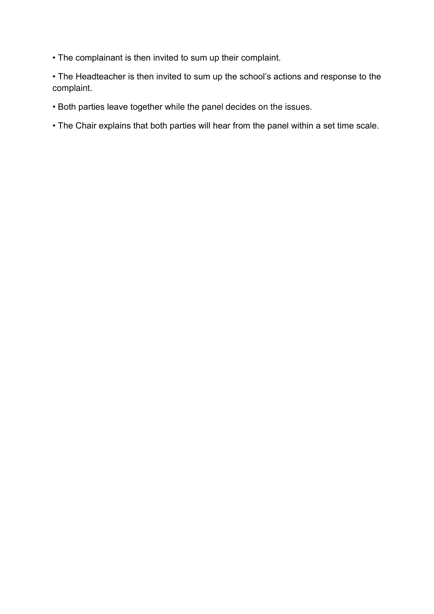• The complainant is then invited to sum up their complaint.

• The Headteacher is then invited to sum up the school's actions and response to the complaint.

- Both parties leave together while the panel decides on the issues.
- The Chair explains that both parties will hear from the panel within a set time scale.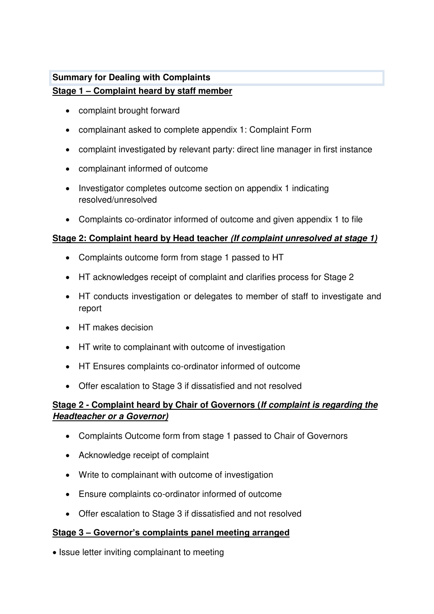## **Summary for Dealing with Complaints Stage 1 – Complaint heard by staff member**

- complaint brought forward
- complainant asked to complete appendix 1: Complaint Form
- complaint investigated by relevant party: direct line manager in first instance
- complainant informed of outcome
- Investigator completes outcome section on appendix 1 indicating resolved/unresolved
- Complaints co-ordinator informed of outcome and given appendix 1 to file

## **Stage 2: Complaint heard by Head teacher (If complaint unresolved at stage 1)**

- Complaints outcome form from stage 1 passed to HT
- HT acknowledges receipt of complaint and clarifies process for Stage 2
- HT conducts investigation or delegates to member of staff to investigate and report
- HT makes decision
- HT write to complainant with outcome of investigation
- HT Ensures complaints co-ordinator informed of outcome
- Offer escalation to Stage 3 if dissatisfied and not resolved

## **Stage 2 - Complaint heard by Chair of Governors (If complaint is regarding the Headteacher or a Governor)**

- Complaints Outcome form from stage 1 passed to Chair of Governors
- Acknowledge receipt of complaint
- Write to complainant with outcome of investigation
- Ensure complaints co-ordinator informed of outcome
- Offer escalation to Stage 3 if dissatisfied and not resolved

## **Stage 3 – Governor's complaints panel meeting arranged**

• Issue letter inviting complainant to meeting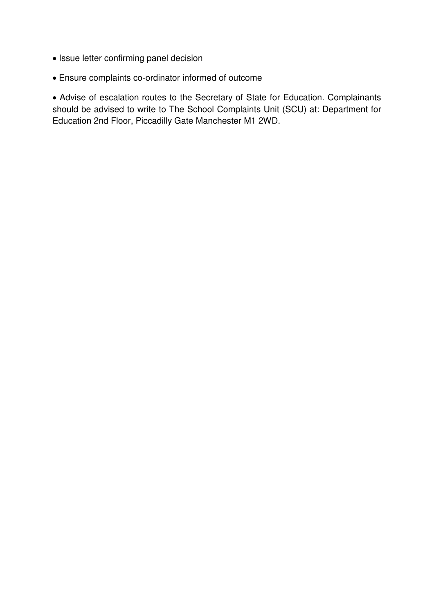- Issue letter confirming panel decision
- Ensure complaints co-ordinator informed of outcome

 Advise of escalation routes to the Secretary of State for Education. Complainants should be advised to write to The School Complaints Unit (SCU) at: Department for Education 2nd Floor, Piccadilly Gate Manchester M1 2WD.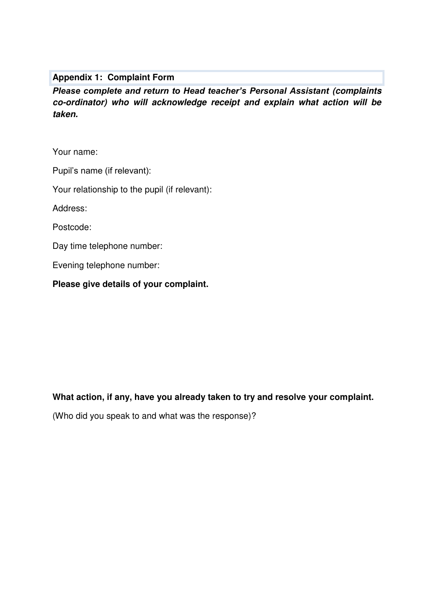#### **Appendix 1: Complaint Form**

*Please complete and return to Head teacher's Personal Assistant* **(complaints co-ordinator) who will acknowledge receipt and explain what action will be taken.** 

Your name:

Pupil's name (if relevant):

Your relationship to the pupil (if relevant):

Address:

Postcode:

Day time telephone number:

Evening telephone number:

**Please give details of your complaint.** 

#### **What action, if any, have you already taken to try and resolve your complaint.**

(Who did you speak to and what was the response)?